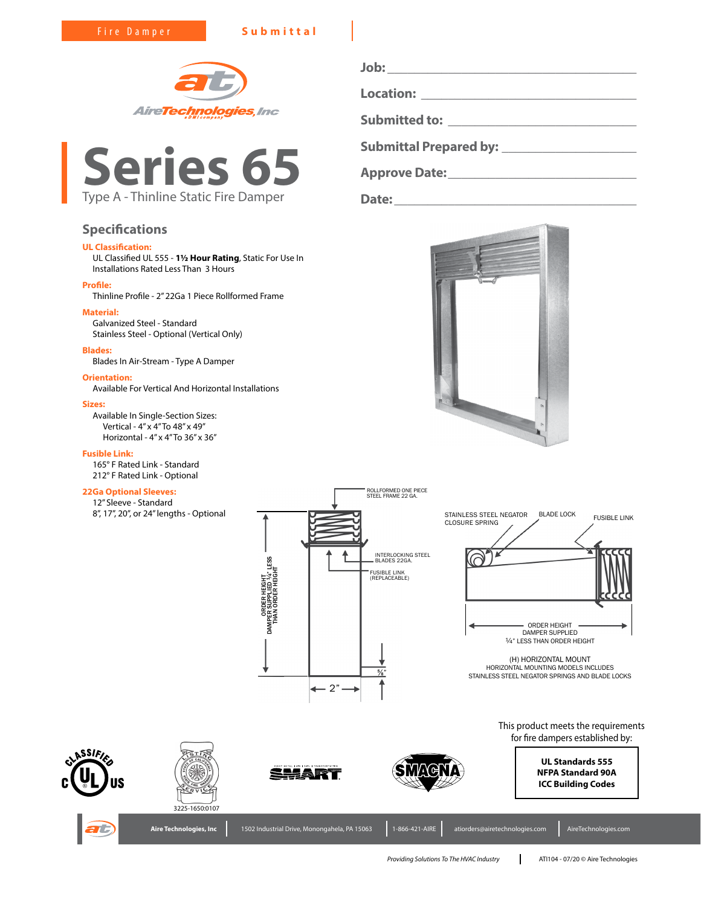Fire Damper **Submittal**





# **Specifications**

# **UL Classification:**

UL Classified UL 555 - **1½ Hour Rating**, Static For Use In Installations Rated Less Than 3 Hours

## **Profile:**

Thinline Profile - 2" 22Ga 1 Piece Rollformed Frame

# **Material:**

Galvanized Steel - Standard Stainless Steel - Optional (Vertical Only)

#### **Blades:**

Blades In Air-Stream - Type A Damper

# **Orientation:**

Available For Vertical And Horizontal Installations

#### **Sizes:**

Available In Single-Section Sizes: Vertical - 4" x 4" To 48" x 49" Horizontal - 4" x 4" To 36" x 36"

## **Fusible Link:**

165° F Rated Link - Standard 212° F Rated Link - Optional

### **22Ga Optional Sleeves:**

12" Sleeve - Standard 8", 17", 20", or 24" lengths - Optional



**Job: \_\_\_\_\_\_\_\_\_\_\_\_\_\_\_\_\_\_\_\_\_\_\_\_\_\_\_\_\_\_\_\_\_\_\_\_\_ Location: \_\_\_\_\_\_\_\_\_\_\_\_\_\_\_\_\_\_\_\_\_\_\_\_\_\_\_\_\_\_\_\_ Submitted to: \_\_\_\_\_\_\_\_\_\_\_\_\_\_\_\_\_\_\_\_\_\_\_\_\_\_\_\_ Submittal Prepared by: \_\_\_\_\_\_\_\_\_\_\_\_\_\_\_\_\_\_\_\_**

**Approve Date:\_\_\_\_\_\_\_\_\_\_\_\_\_\_\_\_\_\_\_\_\_\_\_\_\_\_\_\_**

**Date:\_\_\_\_\_\_\_\_\_\_\_\_\_\_\_\_\_\_\_\_\_\_\_\_\_\_\_\_\_\_\_\_\_\_\_\_**





HORIZONTAL MOUNTING MODELS INCLUDES STAINLESS STEEL NEGATOR SPRINGS AND BLADE LOCKS

> This product meets the requirements for fire dampers established by:



















Aire Technologies, Inc | 1502 Industrial Drive, Monongahela, PA 15063 | 1-866-421-AIRE | atiorders@airetechnologies.com | AireTechnologies.com